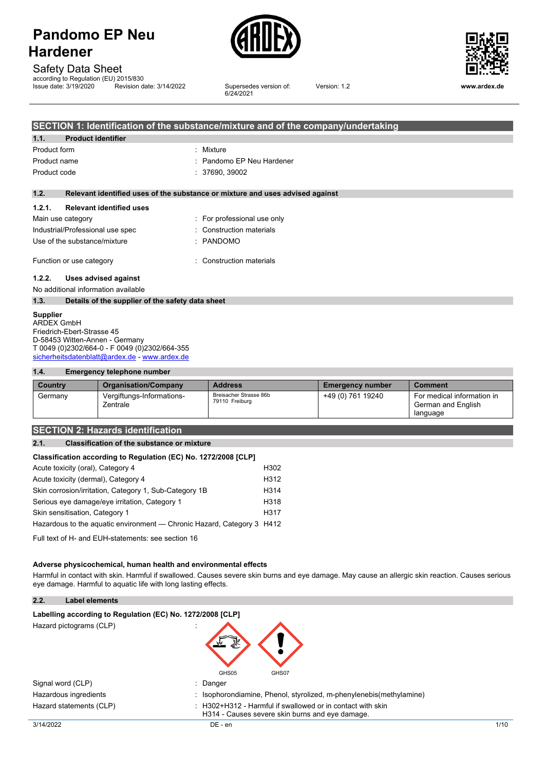



Safety Data Sheet

| according to Regulation (EU) 2015/830 |                          |
|---------------------------------------|--------------------------|
| Issue date: 3/19/2020                 | Revision date: 3/14/2022 |

Supersedes version of: 6/24/2021

Version: 1.2 **www.ardex.de**

|              | SECTION 1: Identification of the substance/mixture and of the company/undertaking |                                                                               |  |  |  |
|--------------|-----------------------------------------------------------------------------------|-------------------------------------------------------------------------------|--|--|--|
| 1.1.         | <b>Product identifier</b>                                                         |                                                                               |  |  |  |
| Product form |                                                                                   | : Mixture                                                                     |  |  |  |
| Product name |                                                                                   | : Pandomo EP Neu Hardener                                                     |  |  |  |
| Product code |                                                                                   | : 37690, 39002                                                                |  |  |  |
|              |                                                                                   |                                                                               |  |  |  |
| 1.2.         |                                                                                   | Relevant identified uses of the substance or mixture and uses advised against |  |  |  |
| 1.2.1.       | <b>Relevant identified uses</b>                                                   |                                                                               |  |  |  |
|              | Main use category                                                                 | : For professional use only                                                   |  |  |  |
|              | Industrial/Professional use spec                                                  | : Construction materials                                                      |  |  |  |
|              | Use of the substance/mixture                                                      | $:$ PANDOMO                                                                   |  |  |  |
|              | Function or use category                                                          | : Construction materials                                                      |  |  |  |
| 1.2.2.       | Uses advised against<br>No additional information available                       |                                                                               |  |  |  |

## **1.3. Details of the supplier of the safety data sheet**

**Supplier** ARDEX GmbH Friedrich-Ebert-Strasse 45 D-58453 Witten-Annen - Germany T 0049 (0)2302/664-0 - F 0049 (0)2302/664-355 [sicherheitsdatenblatt@ardex.de](mailto:sicherheitsdatenblatt@ardex.de) - [www.ardex.de](http://www.ardex.de/)

#### **1.4. Emergency telephone number**

| Country | <b>Organisation/Company</b>           | <b>Address</b>                           | <b>Emergency number</b> | <b>Comment</b>                                               |
|---------|---------------------------------------|------------------------------------------|-------------------------|--------------------------------------------------------------|
| Germany | Vergiftungs-Informations-<br>Zentrale | Breisacher Strasse 86b<br>79110 Freiburg | +49 (0) 761 19240       | For medical information in<br>German and English<br>language |

## **SECTION 2: Hazards identification**

## **2.1. Classification of the substance or mixture**

#### **Classification according to Regulation (EC) No. 1272/2008 [CLP]**

| Acute toxicity (oral), Category 4                                      | H302              |
|------------------------------------------------------------------------|-------------------|
| Acute toxicity (dermal), Category 4                                    | H312              |
| Skin corrosion/irritation, Category 1, Sub-Category 1B                 | H <sub>3</sub> 14 |
| Serious eye damage/eye irritation, Category 1                          | H318              |
| Skin sensitisation, Category 1                                         | H <sub>317</sub>  |
| Hazardous to the aquatic environment — Chronic Hazard, Category 3 H412 |                   |

Full text of H- and EUH-statements: see section 16

#### **Adverse physicochemical, human health and environmental effects**

Harmful in contact with skin. Harmful if swallowed. Causes severe skin burns and eye damage. May cause an allergic skin reaction. Causes serious eye damage. Harmful to aquatic life with long lasting effects.

### **2.2. Label elements**

#### **Labelling** according to Regulation (EC) No. 1272/2008 [CLP]

Hazard pictograms (CLP) :



| Signal word (CLP)       | Danger                                                                                                      |      |
|-------------------------|-------------------------------------------------------------------------------------------------------------|------|
| Hazardous ingredients   | Isophorondiamine, Phenol, styrolized, m-phenylenebis(methylamine)                                           |      |
| Hazard statements (CLP) | H302+H312 - Harmful if swallowed or in contact with skin<br>H314 - Causes severe skin burns and eye damage. |      |
| 3/14/2022               | $DE - en$                                                                                                   | 1/10 |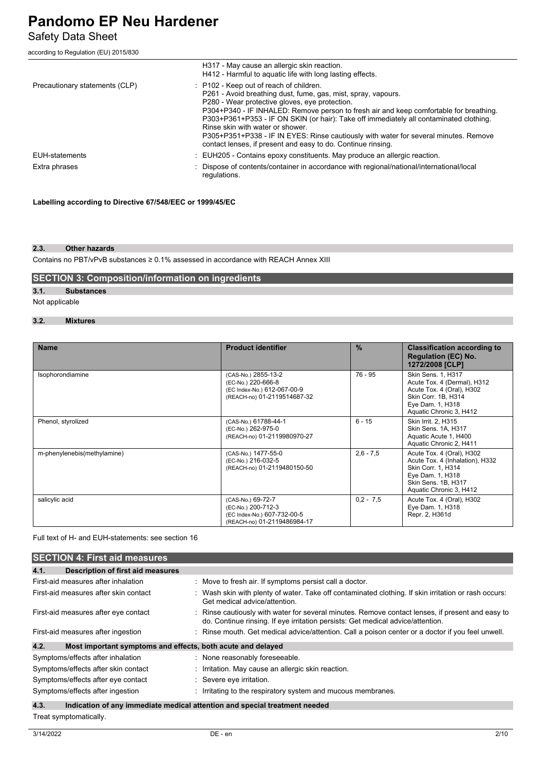Safety Data Sheet

according to Regulation (EU) 2015/830

|                                | H317 - May cause an allergic skin reaction.<br>H412 - Harmful to aguatic life with long lasting effects.                                                                                                                                                                                                                                                                                                                                                                                                                                   |
|--------------------------------|--------------------------------------------------------------------------------------------------------------------------------------------------------------------------------------------------------------------------------------------------------------------------------------------------------------------------------------------------------------------------------------------------------------------------------------------------------------------------------------------------------------------------------------------|
| Precautionary statements (CLP) | : P102 - Keep out of reach of children.<br>P261 - Avoid breathing dust, fume, gas, mist, spray, vapours.<br>P280 - Wear protective gloves, eve protection.<br>P304+P340 - IF INHALED: Remove person to fresh air and keep comfortable for breathing.<br>P303+P361+P353 - IF ON SKIN (or hair): Take off immediately all contaminated clothing.<br>Rinse skin with water or shower.<br>P305+P351+P338 - IF IN EYES: Rinse cautiously with water for several minutes. Remove<br>contact lenses, if present and easy to do. Continue rinsing. |
| EUH-statements                 | $\pm$ EUH205 - Contains epoxy constituents. May produce an allergic reaction.                                                                                                                                                                                                                                                                                                                                                                                                                                                              |
| Extra phrases                  | : Dispose of contents/container in accordance with regional/national/international/local<br>regulations.                                                                                                                                                                                                                                                                                                                                                                                                                                   |

**Labelling according to Directive 67/548/EEC or 1999/45/EC**

#### **2.3. Other hazards**

Contains no PBT/vPvB substances ≥ 0.1% assessed in accordance with REACH Annex XIII

## **SECTION 3: Composition/information on ingredients**

## **3.1. Substances**

Not applicable

## **3.2. Mixtures**

| <b>Name</b>                 | <b>Product identifier</b>                                                                               | $\frac{9}{6}$ | <b>Classification according to</b><br><b>Regulation (EC) No.</b><br>1272/2008 [CLP]                                                                      |
|-----------------------------|---------------------------------------------------------------------------------------------------------|---------------|----------------------------------------------------------------------------------------------------------------------------------------------------------|
| Isophorondiamine            | (CAS-No.) 2855-13-2<br>(EC-No.) 220-666-8<br>(EC Index-No.) 612-067-00-9<br>(REACH-no) 01-2119514687-32 | $76 - 95$     | Skin Sens. 1, H317<br>Acute Tox. 4 (Dermal), H312<br>Acute Tox. 4 (Oral), H302<br>Skin Corr. 1B, H314<br>Eye Dam. 1, H318<br>Aquatic Chronic 3, H412     |
| Phenol, styrolized          | (CAS-No.) 61788-44-1<br>(EC-No.) 262-975-0<br>(REACH-no) 01-2119980970-27                               | $6 - 15$      | Skin Irrit. 2, H315<br>Skin Sens. 1A, H317<br>Aquatic Acute 1, H400<br>Aquatic Chronic 2, H411                                                           |
| m-phenylenebis(methylamine) | (CAS-No.) 1477-55-0<br>(EC-No.) 216-032-5<br>(REACH-no) 01-2119480150-50                                | $2,6 - 7,5$   | Acute Tox. 4 (Oral), H302<br>Acute Tox. 4 (Inhalation), H332<br>Skin Corr. 1, H314<br>Eye Dam. 1, H318<br>Skin Sens. 1B, H317<br>Aquatic Chronic 3, H412 |
| salicylic acid              | (CAS-No.) 69-72-7<br>(EC-No.) 200-712-3<br>(EC Index-No.) 607-732-00-5<br>(REACH-no) 01-2119486984-17   | $0.2 - 7.5$   | Acute Tox. 4 (Oral), H302<br>Eye Dam. 1, H318<br>Repr. 2, H361d                                                                                          |

## Full text of H- and EUH-statements: see section 16

| <b>SECTION 4: First aid measures</b>                                |                                                                                                                                                                                   |
|---------------------------------------------------------------------|-----------------------------------------------------------------------------------------------------------------------------------------------------------------------------------|
| 4.1.<br><b>Description of first aid measures</b>                    |                                                                                                                                                                                   |
| First-aid measures after inhalation                                 | : Move to fresh air. If symptoms persist call a doctor.                                                                                                                           |
| First-aid measures after skin contact                               | : Wash skin with plenty of water. Take off contaminated clothing. If skin irritation or rash occurs:<br>Get medical advice/attention.                                             |
| First-aid measures after eye contact                                | Rinse cautiously with water for several minutes. Remove contact lenses, if present and easy to<br>do. Continue rinsing. If eye irritation persists: Get medical advice/attention. |
| First-aid measures after ingestion                                  | : Rinse mouth. Get medical advice/attention. Call a poison center or a doctor if you feel unwell.                                                                                 |
| 4.2.<br>Most important symptoms and effects, both acute and delayed |                                                                                                                                                                                   |
| Symptoms/effects after inhalation                                   | : None reasonably foreseeable.                                                                                                                                                    |
| Symptoms/effects after skin contact                                 | : Irritation. May cause an allergic skin reaction.                                                                                                                                |
| Symptoms/effects after eye contact                                  | : Severe eye irritation.                                                                                                                                                          |
| Symptoms/effects after ingestion                                    | : Irritating to the respiratory system and mucous membranes.                                                                                                                      |
| 4.3.                                                                | Indication of any immediate medical attention and special treatment needed                                                                                                        |
|                                                                     |                                                                                                                                                                                   |

Treat symptomatically.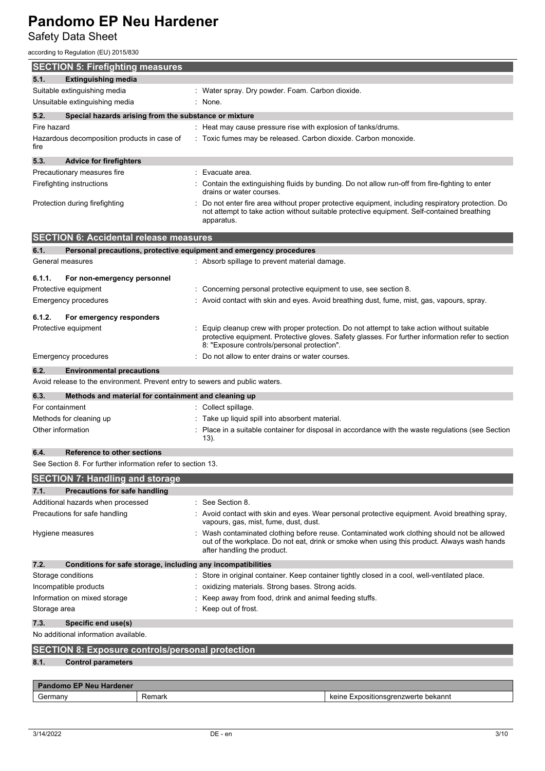Safety Data Sheet

according to Regulation (EU) 2015/830

| iccording to Regulation (EU) 2015/830                       |                                      |                                                       |                                                                                                                                                           |                                                                                                                                                                                                |  |
|-------------------------------------------------------------|--------------------------------------|-------------------------------------------------------|-----------------------------------------------------------------------------------------------------------------------------------------------------------|------------------------------------------------------------------------------------------------------------------------------------------------------------------------------------------------|--|
| <b>SECTION 5: Firefighting measures</b>                     |                                      |                                                       |                                                                                                                                                           |                                                                                                                                                                                                |  |
| 5.1.                                                        | <b>Extinguishing media</b>           |                                                       |                                                                                                                                                           |                                                                                                                                                                                                |  |
| Suitable extinguishing media                                |                                      |                                                       | : Water spray. Dry powder. Foam. Carbon dioxide.                                                                                                          |                                                                                                                                                                                                |  |
| Unsuitable extinguishing media                              |                                      |                                                       | None.                                                                                                                                                     |                                                                                                                                                                                                |  |
| 5.2.                                                        |                                      | Special hazards arising from the substance or mixture |                                                                                                                                                           |                                                                                                                                                                                                |  |
| Fire hazard                                                 |                                      |                                                       | : Heat may cause pressure rise with explosion of tanks/drums.                                                                                             |                                                                                                                                                                                                |  |
| Hazardous decomposition products in case of<br>fire         |                                      |                                                       | Toxic fumes may be released. Carbon dioxide. Carbon monoxide.                                                                                             |                                                                                                                                                                                                |  |
| 5.3.                                                        | <b>Advice for firefighters</b>       |                                                       |                                                                                                                                                           |                                                                                                                                                                                                |  |
| Precautionary measures fire                                 |                                      |                                                       | Evacuate area.                                                                                                                                            |                                                                                                                                                                                                |  |
| Firefighting instructions                                   |                                      |                                                       | drains or water courses.                                                                                                                                  | Contain the extinguishing fluids by bunding. Do not allow run-off from fire-fighting to enter                                                                                                  |  |
| Protection during firefighting                              |                                      |                                                       | apparatus.                                                                                                                                                | Do not enter fire area without proper protective equipment, including respiratory protection. Do<br>not attempt to take action without suitable protective equipment. Self-contained breathing |  |
| <b>SECTION 6: Accidental release measures</b>               |                                      |                                                       |                                                                                                                                                           |                                                                                                                                                                                                |  |
| 6.1.                                                        |                                      |                                                       | Personal precautions, protective equipment and emergency procedures                                                                                       |                                                                                                                                                                                                |  |
| General measures                                            |                                      |                                                       | : Absorb spillage to prevent material damage.                                                                                                             |                                                                                                                                                                                                |  |
|                                                             |                                      |                                                       |                                                                                                                                                           |                                                                                                                                                                                                |  |
| 6.1.1.                                                      | For non-emergency personnel          |                                                       |                                                                                                                                                           |                                                                                                                                                                                                |  |
| Protective equipment                                        |                                      |                                                       | Concerning personal protective equipment to use, see section 8.                                                                                           |                                                                                                                                                                                                |  |
| Emergency procedures                                        |                                      |                                                       |                                                                                                                                                           | Avoid contact with skin and eyes. Avoid breathing dust, fume, mist, gas, vapours, spray.                                                                                                       |  |
| 6.1.2.                                                      | For emergency responders             |                                                       |                                                                                                                                                           |                                                                                                                                                                                                |  |
| Protective equipment                                        |                                      |                                                       | 8: "Exposure controls/personal protection".                                                                                                               | Equip cleanup crew with proper protection. Do not attempt to take action without suitable<br>protective equipment. Protective gloves. Safety glasses. For further information refer to section |  |
| <b>Emergency procedures</b>                                 |                                      |                                                       | Do not allow to enter drains or water courses.                                                                                                            |                                                                                                                                                                                                |  |
| 6.2.                                                        | <b>Environmental precautions</b>     |                                                       |                                                                                                                                                           |                                                                                                                                                                                                |  |
|                                                             |                                      |                                                       | Avoid release to the environment. Prevent entry to sewers and public waters.                                                                              |                                                                                                                                                                                                |  |
|                                                             |                                      |                                                       |                                                                                                                                                           |                                                                                                                                                                                                |  |
| 6.3.                                                        |                                      | Methods and material for containment and cleaning up  |                                                                                                                                                           |                                                                                                                                                                                                |  |
| For containment                                             |                                      |                                                       | Collect spillage.                                                                                                                                         |                                                                                                                                                                                                |  |
| Methods for cleaning up<br>Other information                |                                      |                                                       | Take up liquid spill into absorbent material.<br>Place in a suitable container for disposal in accordance with the waste regulations (see Section<br>13). |                                                                                                                                                                                                |  |
| 6.4.                                                        | <b>Reference to other sections</b>   |                                                       |                                                                                                                                                           |                                                                                                                                                                                                |  |
| See Section 8. For further information refer to section 13. |                                      |                                                       |                                                                                                                                                           |                                                                                                                                                                                                |  |
| <b>SECTION 7: Handling and storage</b>                      |                                      |                                                       |                                                                                                                                                           |                                                                                                                                                                                                |  |
|                                                             |                                      |                                                       |                                                                                                                                                           |                                                                                                                                                                                                |  |
| 7.1.                                                        | <b>Precautions for safe handling</b> |                                                       | See Section 8.                                                                                                                                            |                                                                                                                                                                                                |  |
| Additional hazards when processed                           |                                      |                                                       |                                                                                                                                                           |                                                                                                                                                                                                |  |
| Precautions for safe handling                               |                                      |                                                       | vapours, gas, mist, fume, dust, dust.                                                                                                                     | Avoid contact with skin and eyes. Wear personal protective equipment. Avoid breathing spray,                                                                                                   |  |
| Hygiene measures                                            |                                      |                                                       | after handling the product.                                                                                                                               | Wash contaminated clothing before reuse. Contaminated work clothing should not be allowed<br>out of the workplace. Do not eat, drink or smoke when using this product. Always wash hands       |  |
| 7.2.                                                        |                                      |                                                       | Conditions for safe storage, including any incompatibilities                                                                                              |                                                                                                                                                                                                |  |
| Storage conditions                                          |                                      |                                                       |                                                                                                                                                           | Store in original container. Keep container tightly closed in a cool, well-ventilated place.                                                                                                   |  |
| Incompatible products                                       |                                      |                                                       | oxidizing materials. Strong bases. Strong acids.                                                                                                          |                                                                                                                                                                                                |  |
| Information on mixed storage                                |                                      |                                                       | Keep away from food, drink and animal feeding stuffs.                                                                                                     |                                                                                                                                                                                                |  |
| Storage area                                                |                                      |                                                       | : Keep out of frost.                                                                                                                                      |                                                                                                                                                                                                |  |
| 7.3.                                                        | Specific end use(s)                  |                                                       |                                                                                                                                                           |                                                                                                                                                                                                |  |
| No additional information available.                        |                                      |                                                       |                                                                                                                                                           |                                                                                                                                                                                                |  |
| <b>SECTION 8: Exposure controls/personal protection</b>     |                                      |                                                       |                                                                                                                                                           |                                                                                                                                                                                                |  |
| 8.1.                                                        | <b>Control parameters</b>            |                                                       |                                                                                                                                                           |                                                                                                                                                                                                |  |
|                                                             |                                      |                                                       |                                                                                                                                                           |                                                                                                                                                                                                |  |
| <b>Pandomo EP Neu Hardener</b>                              |                                      |                                                       |                                                                                                                                                           |                                                                                                                                                                                                |  |
| Germany                                                     |                                      | Remark                                                |                                                                                                                                                           | keine Expositionsgrenzwerte bekannt                                                                                                                                                            |  |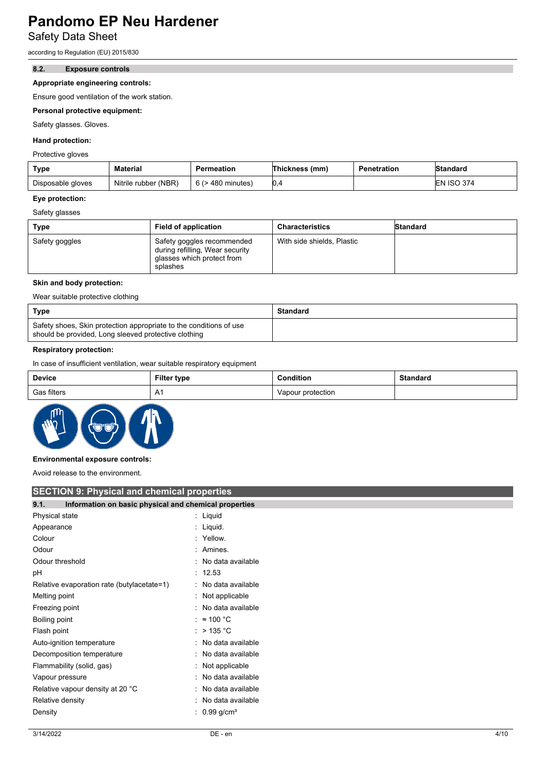Safety Data Sheet

according to Regulation (EU) 2015/830

#### **8.2. Exposure controls**

### **Appropriate engineering controls:**

Ensure good ventilation of the work station.

### **Personal protective equipment:**

Safety glasses. Gloves.

### **Hand protection:**

Protective gloves

| Type              | <b>Material</b>      | Permeation             | Thickness (mm) | Penetration | <b>Standard</b>   |
|-------------------|----------------------|------------------------|----------------|-------------|-------------------|
| Disposable gloves | Nitrile rubber (NBR) | $6$ ( $>$ 480 minutes) | 0.4            |             | <b>EN ISO 374</b> |

#### **Eye protection:**

Safety glasses

| Type           | <b>Field of application</b>                                                                             | <b>Characteristics</b>     | Standard |
|----------------|---------------------------------------------------------------------------------------------------------|----------------------------|----------|
| Safety goggles | Safety goggles recommended<br>during refilling, Wear security<br>glasses which protect from<br>splashes | With side shields, Plastic |          |

#### **Skin and body protection:**

Wear suitable protective clothing

| Type                                                                                                                       | Standard |
|----------------------------------------------------------------------------------------------------------------------------|----------|
| Safety shoes, Skin protection appropriate to the conditions of use<br>should be provided, Long sleeved protective clothing |          |

### **Respiratory protection:**

In case of insufficient ventilation, wear suitable respiratory equipment

| Device      | <b>Filter type</b>  | <b>Condition</b>  | <b>Standard</b> |
|-------------|---------------------|-------------------|-----------------|
| Gas filters | $\mathbf{v}$<br>n i | Vapour protection |                 |



#### **Environmental exposure controls:**

Avoid release to the environment.

| <b>SECTION 9: Physical and chemical properties</b>            |                            |
|---------------------------------------------------------------|----------------------------|
| 9.1.<br>Information on basic physical and chemical properties |                            |
| Physical state                                                | : Liquid                   |
| Appearance                                                    | : Liquid.                  |
| Colour                                                        | : Yellow.                  |
| Odour                                                         | : Amines.                  |
| Odour threshold                                               | : No data available        |
| рH                                                            | : 12.53                    |
| Relative evaporation rate (butylacetate=1)                    | : No data available        |
| Melting point                                                 | : Not applicable           |
| Freezing point                                                | : No data available        |
| Boiling point                                                 | : $\approx$ 100 °C         |
| Flash point                                                   | : $>$ 135 °C               |
| Auto-ignition temperature                                     | : No data available        |
| Decomposition temperature                                     | : No data available        |
| Flammability (solid, gas)                                     | Not applicable             |
| Vapour pressure                                               | : No data available        |
| Relative vapour density at 20 °C                              | No data available          |
| Relative density                                              | No data available<br>÷     |
| Density                                                       | : $0.99$ g/cm <sup>3</sup> |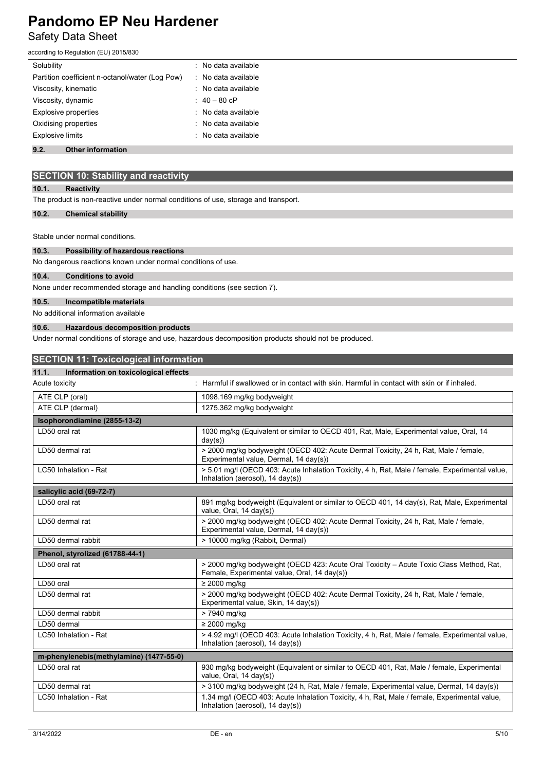## **Pandomo EP Neu Hardener** Safety Data Sheet

according to Regulation (EU) 2015/830

| Solubility                                      | : No data available |
|-------------------------------------------------|---------------------|
| Partition coefficient n-octanol/water (Log Pow) | : No data available |
| Viscosity, kinematic                            | : No data available |
| Viscosity, dynamic                              | : $40 - 80$ cP      |
| <b>Explosive properties</b>                     | : No data available |
| Oxidising properties                            | : No data available |
| <b>Explosive limits</b>                         | : No data available |
|                                                 |                     |

## **9.2. Other information**

## **SECTION 10: Stability and reactivity**

## **10.1. Reactivity**

The product is non-reactive under normal conditions of use, storage and transport.

## **10.2. Chemical stability**

Stable under normal conditions.

## **10.3. Possibility of hazardous reactions**

No dangerous reactions known under normal conditions of use.

## **10.4. Conditions to avoid**

None under recommended storage and handling conditions (see section 7).

#### **10.5. Incompatible materials**

No additional information available

### **10.6. Hazardous decomposition products**

Under normal conditions of storage and use, hazardous decomposition products should not be produced.

| <b>SECTION 11: Toxicological information</b>  |                                                                                                                                               |  |
|-----------------------------------------------|-----------------------------------------------------------------------------------------------------------------------------------------------|--|
| 11.1.<br>Information on toxicological effects |                                                                                                                                               |  |
| Acute toxicity                                | : Harmful if swallowed or in contact with skin. Harmful in contact with skin or if inhaled.                                                   |  |
| ATE CLP (oral)                                | 1098.169 mg/kg bodyweight                                                                                                                     |  |
| ATE CLP (dermal)                              | 1275.362 mg/kg bodyweight                                                                                                                     |  |
| Isophorondiamine (2855-13-2)                  |                                                                                                                                               |  |
| LD50 oral rat                                 | 1030 mg/kg (Equivalent or similar to OECD 401, Rat, Male, Experimental value, Oral, 14<br>day(s))                                             |  |
| LD50 dermal rat                               | > 2000 mg/kg bodyweight (OECD 402: Acute Dermal Toxicity, 24 h, Rat, Male / female,<br>Experimental value, Dermal, 14 day(s))                 |  |
| LC50 Inhalation - Rat                         | > 5.01 mg/l (OECD 403: Acute Inhalation Toxicity, 4 h, Rat, Male / female, Experimental value,<br>Inhalation (aerosol), 14 day(s))            |  |
| salicylic acid (69-72-7)                      |                                                                                                                                               |  |
| LD50 oral rat                                 | 891 mg/kg bodyweight (Equivalent or similar to OECD 401, 14 day(s), Rat, Male, Experimental<br>value, Oral, 14 day(s))                        |  |
| LD50 dermal rat                               | > 2000 mg/kg bodyweight (OECD 402: Acute Dermal Toxicity, 24 h, Rat, Male / female,<br>Experimental value, Dermal, 14 day(s))                 |  |
| LD50 dermal rabbit                            | > 10000 mg/kg (Rabbit, Dermal)                                                                                                                |  |
| Phenol, styrolized (61788-44-1)               |                                                                                                                                               |  |
| LD50 oral rat                                 | > 2000 mg/kg bodyweight (OECD 423: Acute Oral Toxicity - Acute Toxic Class Method, Rat,<br>Female, Experimental value, Oral, 14 day(s))       |  |
| LD50 oral                                     | $\geq$ 2000 mg/kg                                                                                                                             |  |
| LD50 dermal rat                               | > 2000 mg/kg bodyweight (OECD 402: Acute Dermal Toxicity, 24 h, Rat, Male / female,<br>Experimental value, Skin, 14 day(s))                   |  |
| LD50 dermal rabbit                            | > 7940 mg/kg                                                                                                                                  |  |
| LD50 dermal                                   | $\geq$ 2000 mg/kg                                                                                                                             |  |
| LC50 Inhalation - Rat                         | > 4.92 mg/l (OECD 403: Acute Inhalation Toxicity, 4 h, Rat, Male / female, Experimental value,<br>Inhalation (aerosol), $14 \text{ day}(s)$ ) |  |
| m-phenylenebis(methylamine) (1477-55-0)       |                                                                                                                                               |  |
| LD50 oral rat                                 | 930 mg/kg bodyweight (Equivalent or similar to OECD 401, Rat, Male / female, Experimental<br>value, Oral, 14 day(s))                          |  |
| LD50 dermal rat                               | > 3100 mg/kg bodyweight (24 h, Rat, Male / female, Experimental value, Dermal, 14 day(s))                                                     |  |
| LC50 Inhalation - Rat                         | 1.34 mg/l (OECD 403: Acute Inhalation Toxicity, 4 h, Rat, Male / female, Experimental value,<br>Inhalation (aerosol), $14 \text{ day}(s)$ )   |  |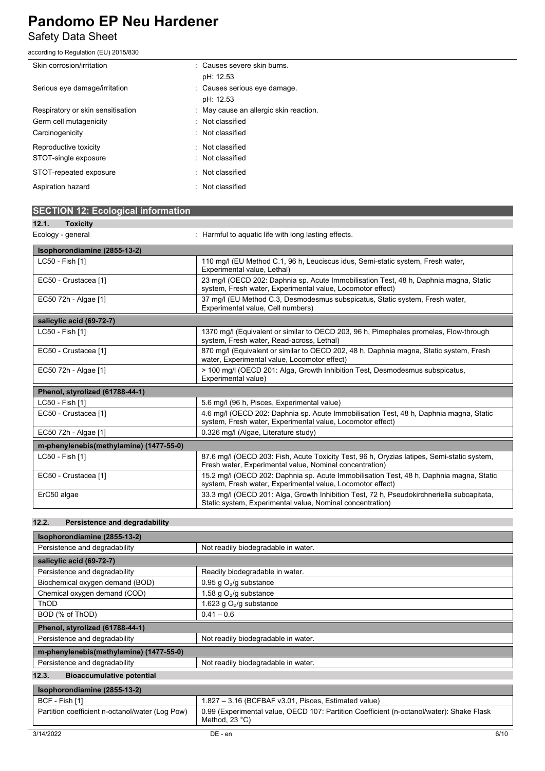## Safety Data Sheet

according to Regulation (EU) 2015/830

| Skin corrosion/irritation         | : Causes severe skin burns.            |  |
|-----------------------------------|----------------------------------------|--|
|                                   | pH: 12.53                              |  |
| Serious eye damage/irritation     | : Causes serious eye damage.           |  |
|                                   | pH: 12.53                              |  |
| Respiratory or skin sensitisation | : May cause an allergic skin reaction. |  |
| Germ cell mutagenicity            | : Not classified                       |  |
| Carcinogenicity                   | : Not classified                       |  |
| Reproductive toxicity             | : Not classified                       |  |
| STOT-single exposure              | : Not classified                       |  |
| STOT-repeated exposure            | : Not classified                       |  |
| Aspiration hazard                 | : Not classified                       |  |

|  | <b>SECTION 12: Ecological information</b> |
|--|-------------------------------------------|
|  |                                           |

| Ζ. | LOXICITY |
|----|----------|
|    |          |

Ecology - general **Example 20** : Harmful to aquatic life with long lasting effects.

| Isophorondiamine (2855-13-2)            |                                                                                                                                                        |  |  |
|-----------------------------------------|--------------------------------------------------------------------------------------------------------------------------------------------------------|--|--|
| LC50 - Fish [1]                         | 110 mg/l (EU Method C.1, 96 h, Leuciscus idus, Semi-static system, Fresh water,<br>Experimental value, Lethal)                                         |  |  |
| EC50 - Crustacea [1]                    | 23 mg/l (OECD 202: Daphnia sp. Acute Immobilisation Test, 48 h, Daphnia magna, Static<br>system, Fresh water, Experimental value, Locomotor effect)    |  |  |
| EC50 72h - Algae [1]                    | 37 mg/l (EU Method C.3, Desmodesmus subspicatus, Static system, Fresh water,<br>Experimental value, Cell numbers)                                      |  |  |
| salicylic acid (69-72-7)                |                                                                                                                                                        |  |  |
| LC50 - Fish [1]                         | 1370 mg/l (Equivalent or similar to OECD 203, 96 h, Pimephales promelas, Flow-through<br>system, Fresh water, Read-across, Lethal)                     |  |  |
| EC50 - Crustacea [1]                    | 870 mg/l (Equivalent or similar to OECD 202, 48 h, Daphnia magna, Static system, Fresh<br>water, Experimental value, Locomotor effect)                 |  |  |
| EC50 72h - Algae [1]                    | > 100 mg/l (OECD 201: Alga, Growth Inhibition Test, Desmodesmus subspicatus,<br>Experimental value)                                                    |  |  |
| Phenol, styrolized (61788-44-1)         |                                                                                                                                                        |  |  |
| LC50 - Fish [1]                         | 5.6 mg/l (96 h, Pisces, Experimental value)                                                                                                            |  |  |
| EC50 - Crustacea [1]                    | 4.6 mg/l (OECD 202: Daphnia sp. Acute Immobilisation Test, 48 h, Daphnia magna, Static<br>system, Fresh water, Experimental value, Locomotor effect)   |  |  |
| EC50 72h - Algae [1]                    | 0.326 mg/l (Algae, Literature study)                                                                                                                   |  |  |
| m-phenylenebis(methylamine) (1477-55-0) |                                                                                                                                                        |  |  |
| LC50 - Fish [1]                         | 87.6 mg/l (OECD 203: Fish, Acute Toxicity Test, 96 h, Oryzias latipes, Semi-static system,<br>Fresh water, Experimental value, Nominal concentration)  |  |  |
| EC50 - Crustacea [1]                    | 15.2 mg/l (OECD 202: Daphnia sp. Acute Immobilisation Test, 48 h, Daphnia magna, Static<br>system, Fresh water, Experimental value, Locomotor effect)  |  |  |
| ErC50 algae                             | 33.3 mg/l (OECD 201: Alga, Growth Inhibition Test, 72 h, Pseudokirchneriella subcapitata,<br>Static system, Experimental value, Nominal concentration) |  |  |

## **12.2. Persistence and degradability**

| Isophorondiamine (2855-13-2)                    |                                                                                          |
|-------------------------------------------------|------------------------------------------------------------------------------------------|
| Persistence and degradability                   | Not readily biodegradable in water.                                                      |
| salicylic acid (69-72-7)                        |                                                                                          |
| Persistence and degradability                   | Readily biodegradable in water.                                                          |
| Biochemical oxygen demand (BOD)                 | 0.95 g $O_2$ /g substance                                                                |
| Chemical oxygen demand (COD)                    | 1.58 g $O_2$ /g substance                                                                |
| ThOD                                            | 1.623 g $O2/g$ substance                                                                 |
| BOD (% of ThOD)                                 | $0.41 - 0.6$                                                                             |
| Phenol, styrolized (61788-44-1)                 |                                                                                          |
| Persistence and degradability                   | Not readily biodegradable in water.                                                      |
| m-phenylenebis(methylamine) (1477-55-0)         |                                                                                          |
| Persistence and degradability                   | Not readily biodegradable in water.                                                      |
| <b>Bioaccumulative potential</b><br>12.3.       |                                                                                          |
| Isophorondiamine (2855-13-2)                    |                                                                                          |
| BCF - Fish [1]                                  | 1.827 - 3.16 (BCFBAF v3.01, Pisces, Estimated value)                                     |
| Partition coefficient n-octanol/water (Log Pow) | 0.99 (Experimental value, OECD 107: Partition Coefficient (n-octanol/water): Shake Flask |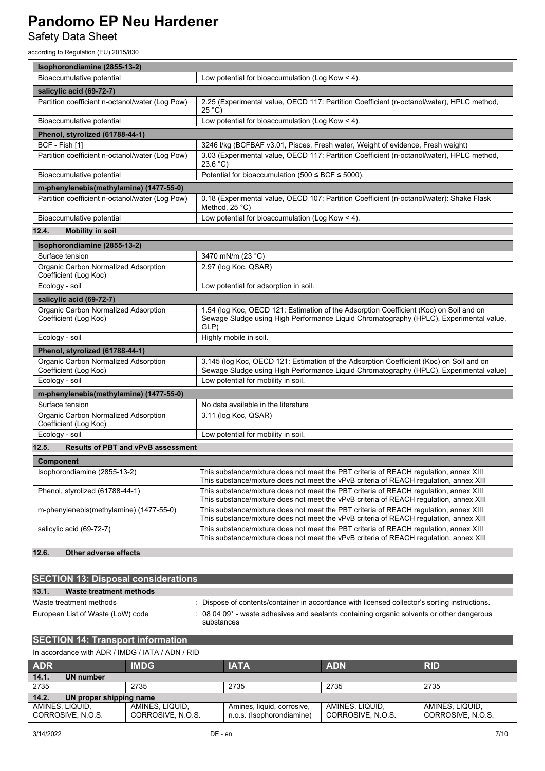Safety Data Sheet

according to Regulation (EU) 2015/830

| Isophorondiamine (2855-13-2)                                  |                                                                                                                                                                                          |  |  |
|---------------------------------------------------------------|------------------------------------------------------------------------------------------------------------------------------------------------------------------------------------------|--|--|
| Bioaccumulative potential                                     | Low potential for bioaccumulation (Log Kow $\leq$ 4).                                                                                                                                    |  |  |
| salicylic acid (69-72-7)                                      |                                                                                                                                                                                          |  |  |
| Partition coefficient n-octanol/water (Log Pow)               | 2.25 (Experimental value, OECD 117: Partition Coefficient (n-octanol/water), HPLC method,<br>25 °C)                                                                                      |  |  |
| Bioaccumulative potential                                     | Low potential for bioaccumulation (Log Kow < 4).                                                                                                                                         |  |  |
| Phenol, styrolized (61788-44-1)                               |                                                                                                                                                                                          |  |  |
| BCF - Fish [1]                                                | 3246 I/kg (BCFBAF v3.01, Pisces, Fresh water, Weight of evidence, Fresh weight)                                                                                                          |  |  |
| Partition coefficient n-octanol/water (Log Pow)               | 3.03 (Experimental value, OECD 117: Partition Coefficient (n-octanol/water), HPLC method,<br>23.6 °C                                                                                     |  |  |
| Bioaccumulative potential                                     | Potential for bioaccumulation (500 $\leq$ BCF $\leq$ 5000).                                                                                                                              |  |  |
| m-phenylenebis(methylamine) (1477-55-0)                       |                                                                                                                                                                                          |  |  |
| Partition coefficient n-octanol/water (Log Pow)               | 0.18 (Experimental value, OECD 107: Partition Coefficient (n-octanol/water): Shake Flask<br>Method, $25^{\circ}$ C)                                                                      |  |  |
| Bioaccumulative potential                                     | Low potential for bioaccumulation (Log Kow $<$ 4).                                                                                                                                       |  |  |
| <b>Mobility in soil</b><br>12.4.                              |                                                                                                                                                                                          |  |  |
| Isophorondiamine (2855-13-2)                                  |                                                                                                                                                                                          |  |  |
| Surface tension                                               | 3470 mN/m (23 °C)                                                                                                                                                                        |  |  |
| Organic Carbon Normalized Adsorption<br>Coefficient (Log Koc) | 2.97 (log Koc, QSAR)                                                                                                                                                                     |  |  |
| Ecology - soil                                                | Low potential for adsorption in soil.                                                                                                                                                    |  |  |
| salicylic acid (69-72-7)                                      |                                                                                                                                                                                          |  |  |
| Organic Carbon Normalized Adsorption<br>Coefficient (Log Koc) | 1.54 (log Koc, OECD 121: Estimation of the Adsorption Coefficient (Koc) on Soil and on<br>Sewage Sludge using High Performance Liquid Chromatography (HPLC), Experimental value,<br>GLP) |  |  |
| Ecology - soil                                                | Highly mobile in soil.                                                                                                                                                                   |  |  |
| Phenol, styrolized (61788-44-1)                               |                                                                                                                                                                                          |  |  |
| Organic Carbon Normalized Adsorption<br>Coefficient (Log Koc) | 3.145 (log Koc, OECD 121: Estimation of the Adsorption Coefficient (Koc) on Soil and on<br>Sewage Sludge using High Performance Liquid Chromatography (HPLC), Experimental value)        |  |  |
| Ecology - soil                                                | Low potential for mobility in soil.                                                                                                                                                      |  |  |
| m-phenylenebis(methylamine) (1477-55-0)                       |                                                                                                                                                                                          |  |  |
| Surface tension                                               | No data available in the literature                                                                                                                                                      |  |  |
| Organic Carbon Normalized Adsorption<br>Coefficient (Log Koc) | 3.11 (log Koc, QSAR)                                                                                                                                                                     |  |  |
| Ecology - soil                                                | Low potential for mobility in soil.                                                                                                                                                      |  |  |
| 12.5.<br><b>Results of PBT and vPvB assessment</b>            |                                                                                                                                                                                          |  |  |
| Component                                                     |                                                                                                                                                                                          |  |  |
| Isophorondiamine (2855-13-2)                                  | This substance/mixture does not meet the PBT criteria of REACH regulation, annex XIII<br>This substance/mixture does not meet the vPvB criteria of REACH regulation, annex XIII          |  |  |
| Phenol, styrolized (61788-44-1)                               | This substance/mixture does not meet the PBT criteria of REACH regulation, annex XIII<br>This substance/mixture does not meet the vPvB criteria of REACH regulation, annex XIII          |  |  |
| m-phenylenebis(methylamine) (1477-55-0)                       | This substance/mixture does not meet the PBT criteria of REACH requlation, annex XIII<br>This substance/mixture does not meet the vPvB criteria of REACH regulation, annex XIII          |  |  |
| salicylic acid (69-72-7)                                      | This substance/mixture does not meet the PBT criteria of REACH regulation, annex XIII<br>This substance/mixture does not meet the vPvB criteria of REACH regulation, annex XIII          |  |  |

## **12.6. Other adverse effects**

| <b>SECTION 13: Disposal considerations</b> |                                                                                                                   |
|--------------------------------------------|-------------------------------------------------------------------------------------------------------------------|
| Waste treatment methods<br>13.1.           |                                                                                                                   |
| Waste treatment methods                    | Dispose of contents/container in accordance with licensed collector's sorting instructions.                       |
| European List of Waste (LoW) code          | 08 04 09 <sup>*</sup> - waste adhesives and sealants containing organic solvents or other dangerous<br>substances |

## **SECTION 14: Transport information**

| In accordance with ADR / IMDG / IATA / ADN / RID |  |  |
|--------------------------------------------------|--|--|
|                                                  |  |  |

| <b>ADR</b>                       | <b>IMDG</b>       | <b>IATA</b>                | <b>ADN</b>        | <b>RID</b>        |
|----------------------------------|-------------------|----------------------------|-------------------|-------------------|
| 14.1.<br>UN number               |                   |                            |                   |                   |
| 2735                             | 2735              | 2735                       | 2735              | 2735              |
| 14.2.<br>UN proper shipping name |                   |                            |                   |                   |
| AMINES, LIQUID,                  | AMINES, LIQUID.   | Amines, liquid, corrosive, | AMINES, LIQUID.   | AMINES, LIQUID,   |
| CORROSIVE, N.O.S.                | CORROSIVE, N.O.S. | n.o.s. (Isophorondiamine)  | CORROSIVE, N.O.S. | CORROSIVE, N.O.S. |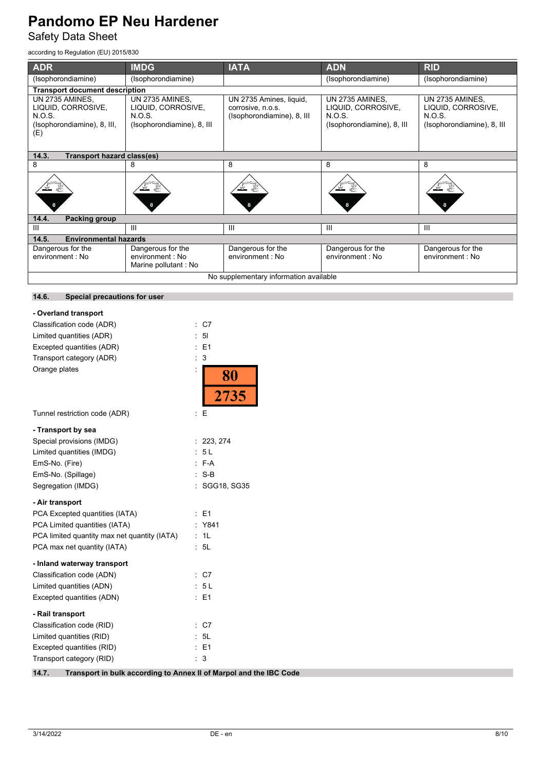Safety Data Sheet

according to Regulation (EU) 2015/830

| <b>ADR</b>                                                                            | <b>IMDG</b>                                                                          | <b>IATA</b>                                                                | <b>ADN</b>                                                                           | <b>RID</b>                                                                    |  |
|---------------------------------------------------------------------------------------|--------------------------------------------------------------------------------------|----------------------------------------------------------------------------|--------------------------------------------------------------------------------------|-------------------------------------------------------------------------------|--|
| (Isophorondiamine)                                                                    | (Isophorondiamine)                                                                   |                                                                            | (Isophorondiamine)                                                                   | (Isophorondiamine)                                                            |  |
| <b>Transport document description</b>                                                 |                                                                                      |                                                                            |                                                                                      |                                                                               |  |
| UN 2735 AMINES,<br>LIQUID, CORROSIVE,<br>N.O.S.<br>(Isophorondiamine), 8, III,<br>(E) | UN 2735 AMINES,<br>LIQUID, CORROSIVE,<br><b>N.O.S.</b><br>(Isophorondiamine), 8, III | UN 2735 Amines, liquid,<br>corrosive, n.o.s.<br>(Isophorondiamine), 8, III | UN 2735 AMINES,<br>LIQUID, CORROSIVE,<br><b>N.O.S.</b><br>(Isophorondiamine), 8, III | UN 2735 AMINES.<br>LIQUID, CORROSIVE,<br>N.O.S.<br>(Isophorondiamine), 8, III |  |
| 14.3.<br><b>Transport hazard class(es)</b>                                            |                                                                                      |                                                                            |                                                                                      |                                                                               |  |
| 8                                                                                     | 8                                                                                    | 8                                                                          | 8                                                                                    | 8                                                                             |  |
|                                                                                       |                                                                                      |                                                                            |                                                                                      |                                                                               |  |
| 14.4.<br><b>Packing group</b>                                                         |                                                                                      |                                                                            |                                                                                      |                                                                               |  |
| Ш                                                                                     | III                                                                                  | III                                                                        | Ш                                                                                    | $\mathbf{III}$                                                                |  |
| 14.5.<br><b>Environmental hazards</b>                                                 |                                                                                      |                                                                            |                                                                                      |                                                                               |  |
| Dangerous for the<br>environment : No                                                 | Dangerous for the<br>environment : No<br>Marine pollutant: No                        | Dangerous for the<br>environment : No                                      | Dangerous for the<br>environment : No                                                | Dangerous for the<br>environment : No                                         |  |
|                                                                                       | No supplementary information available                                               |                                                                            |                                                                                      |                                                                               |  |
| 14.6.<br>Special precautions for user                                                 |                                                                                      |                                                                            |                                                                                      |                                                                               |  |
| - Overland transport                                                                  |                                                                                      |                                                                            |                                                                                      |                                                                               |  |
| Classification code (ADR)                                                             | $\therefore$ C7                                                                      |                                                                            |                                                                                      |                                                                               |  |
| Limited quantities (ADR)                                                              | 5 <sub>l</sub>                                                                       |                                                                            |                                                                                      |                                                                               |  |
| Excepted quantities (ADR)                                                             | E <sub>1</sub>                                                                       |                                                                            |                                                                                      |                                                                               |  |
| Transport category (ADR)                                                              | 3                                                                                    |                                                                            |                                                                                      |                                                                               |  |
| Orange plates                                                                         |                                                                                      |                                                                            |                                                                                      |                                                                               |  |
|                                                                                       |                                                                                      | 80<br>2735                                                                 |                                                                                      |                                                                               |  |
| Tunnel restriction code (ADR)                                                         | $E_{\rm E}$                                                                          |                                                                            |                                                                                      |                                                                               |  |
| - Transport by sea                                                                    |                                                                                      |                                                                            |                                                                                      |                                                                               |  |
| Snecial provisions (IMDG)                                                             | .223.274                                                                             |                                                                            |                                                                                      |                                                                               |  |

| <b>ODECIAL DI UVISIONS (HVILLO)</b>          | . 223.214     |
|----------------------------------------------|---------------|
| Limited quantities (IMDG)                    | : 5 L         |
| EmS-No. (Fire)                               | $: F-A$       |
| EmS-No. (Spillage)                           | $:$ S-B       |
| Segregation (IMDG)                           | : SGG18, SG35 |
| - Air transport                              |               |
| PCA Excepted quantities (IATA)               | $\pm$ E1      |
| PCA Limited quantities (IATA)                | : Y841        |
| PCA limited quantity max net quantity (IATA) | : 1L          |
| PCA max net quantity (IATA)                  | : 5L          |
| - Inland waterway transport                  |               |
| Classification code (ADN)                    | : C7          |
|                                              |               |

| Limited quantities (ADN)  | : 5 L   |
|---------------------------|---------|
| Excepted quantities (ADN) | $E = 1$ |
| - Rail transport          |         |
| Classification code (RID) | : C7    |
| Limited quantities (RID)  | : 5L    |
| Excepted quantities (RID) | $E = 1$ |
| Transport category (RID)  | : 3     |
|                           |         |

**14.7. Transport in bulk according to Annex II of Marpol and the IBC Code**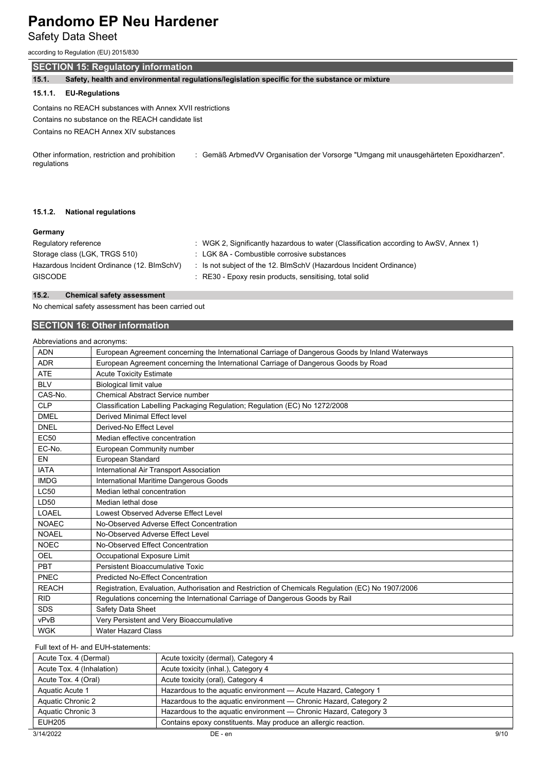Safety Data Sheet

according to Regulation (EU) 2015/830

## **SECTION 15: Regulatory information**

**15.1. Safety, health and environmental regulations/legislation specific for the substance or mixture**

## **15.1.1. EU-Regulations**

Contains no REACH substances with Annex XVII restrictions Contains no substance on the REACH candidate list Contains no REACH Annex XIV substances

Other information, restriction and prohibition regulations : Gemäß ArbmedVV Organisation der Vorsorge "Umgang mit unausgehärteten Epoxidharzen".

#### **15.1.2. National regulations**

#### **Germany**

| Regulatory reference                       | : WGK 2, Significantly hazardous to water (Classification according to AwSV, Annex 1) |
|--------------------------------------------|---------------------------------------------------------------------------------------|
| Storage class (LGK, TRGS 510)              | : LGK 8A - Combustible corrosive substances                                           |
| Hazardous Incident Ordinance (12. BImSchV) | : Is not subject of the 12. BlmSchV (Hazardous Incident Ordinance)                    |
| <b>GISCODE</b>                             | : RE30 - Epoxy resin products, sensitising, total solid                               |

#### **15.2. Chemical safety assessment**

No chemical safety assessment has been carried out

## **SECTION 16: Other information**

Abbreviations and acronyms:

| <b>ADN</b>   | European Agreement concerning the International Carriage of Dangerous Goods by Inland Waterways   |
|--------------|---------------------------------------------------------------------------------------------------|
| <b>ADR</b>   | European Agreement concerning the International Carriage of Dangerous Goods by Road               |
| <b>ATE</b>   | <b>Acute Toxicity Estimate</b>                                                                    |
| <b>BLV</b>   | <b>Biological limit value</b>                                                                     |
| CAS-No.      | <b>Chemical Abstract Service number</b>                                                           |
| <b>CLP</b>   | Classification Labelling Packaging Regulation; Regulation (EC) No 1272/2008                       |
| <b>DMEL</b>  | Derived Minimal Effect level                                                                      |
| <b>DNEL</b>  | Derived-No Effect Level                                                                           |
| <b>EC50</b>  | Median effective concentration                                                                    |
| EC-No.       |                                                                                                   |
|              | European Community number                                                                         |
| EN           | European Standard                                                                                 |
| <b>IATA</b>  | International Air Transport Association                                                           |
| <b>IMDG</b>  | International Maritime Dangerous Goods                                                            |
| <b>LC50</b>  | Median lethal concentration                                                                       |
| LD50         | Median lethal dose                                                                                |
| LOAEL        | Lowest Observed Adverse Effect Level                                                              |
| <b>NOAEC</b> | No-Observed Adverse Effect Concentration                                                          |
| <b>NOAEL</b> | No-Observed Adverse Effect Level                                                                  |
| <b>NOEC</b>  | No-Observed Effect Concentration                                                                  |
| OEL          | Occupational Exposure Limit                                                                       |
| <b>PBT</b>   | Persistent Bioaccumulative Toxic                                                                  |
| PNEC         | <b>Predicted No-Effect Concentration</b>                                                          |
| <b>REACH</b> | Registration, Evaluation, Authorisation and Restriction of Chemicals Regulation (EC) No 1907/2006 |
| <b>RID</b>   | Regulations concerning the International Carriage of Dangerous Goods by Rail                      |
| <b>SDS</b>   | Safety Data Sheet                                                                                 |
| vPvB         | Very Persistent and Very Bioaccumulative                                                          |
| <b>WGK</b>   | <b>Water Hazard Class</b>                                                                         |

## Full text of H- and EUH-statements:

| Acute Tox. 4 (Dermal)     | Acute toxicity (dermal), Category 4                               |  |  |
|---------------------------|-------------------------------------------------------------------|--|--|
| Acute Tox. 4 (Inhalation) | Acute toxicity (inhal.), Category 4                               |  |  |
| Acute Tox. 4 (Oral)       | Acute toxicity (oral), Category 4                                 |  |  |
| Aquatic Acute 1           | Hazardous to the aquatic environment - Acute Hazard, Category 1   |  |  |
| Aquatic Chronic 2         | Hazardous to the aquatic environment - Chronic Hazard, Category 2 |  |  |
| Aquatic Chronic 3         | Hazardous to the aquatic environment — Chronic Hazard, Category 3 |  |  |
| EUH205                    | Contains epoxy constituents. May produce an allergic reaction.    |  |  |